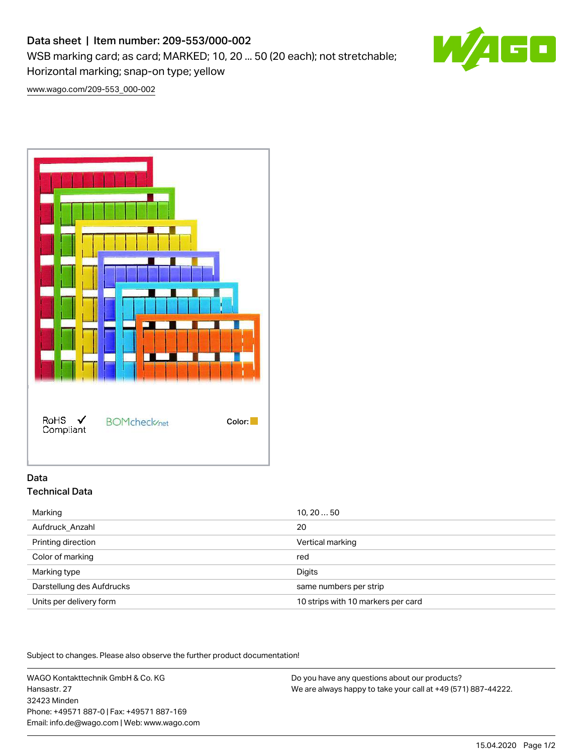# Data sheet | Item number: 209-553/000-002

WSB marking card; as card; MARKED; 10, 20 ... 50 (20 each); not stretchable; Horizontal marking; snap-on type; yellow



[www.wago.com/209-553\\_000-002](http://www.wago.com/209-553_000-002)



## Data Technical Data

| Marking                   | 10, 2050                           |
|---------------------------|------------------------------------|
| Aufdruck Anzahl           | 20                                 |
| Printing direction        | Vertical marking                   |
| Color of marking          | red                                |
| Marking type              | Digits                             |
| Darstellung des Aufdrucks | same numbers per strip             |
| Units per delivery form   | 10 strips with 10 markers per card |

Subject to changes. Please also observe the further product documentation!

WAGO Kontakttechnik GmbH & Co. KG Hansastr. 27 32423 Minden Phone: +49571 887-0 | Fax: +49571 887-169 Email: info.de@wago.com | Web: www.wago.com

Do you have any questions about our products? We are always happy to take your call at +49 (571) 887-44222.